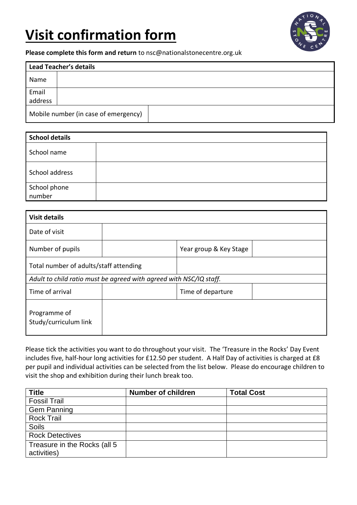# **Visit confirmation form**



**Please complete this form and return** to nsc@nationalstonecentre.org.uk

| <b>Lead Teacher's details</b> |                                      |  |  |  |
|-------------------------------|--------------------------------------|--|--|--|
| Name                          |                                      |  |  |  |
| Email                         |                                      |  |  |  |
| address                       |                                      |  |  |  |
|                               | Mobile number (in case of emergency) |  |  |  |

| School details         |  |  |  |  |
|------------------------|--|--|--|--|
| School name            |  |  |  |  |
| School address         |  |  |  |  |
| School phone<br>number |  |  |  |  |

| <b>Visit details</b>                                               |  |                        |  |  |  |  |
|--------------------------------------------------------------------|--|------------------------|--|--|--|--|
| Date of visit                                                      |  |                        |  |  |  |  |
| Number of pupils                                                   |  | Year group & Key Stage |  |  |  |  |
| Total number of adults/staff attending                             |  |                        |  |  |  |  |
| Adult to child ratio must be agreed with agreed with NSC/IQ staff. |  |                        |  |  |  |  |
| Time of arrival                                                    |  | Time of departure      |  |  |  |  |
| Programme of<br>Study/curriculum link                              |  |                        |  |  |  |  |

Please tick the activities you want to do throughout your visit. The 'Treasure in the Rocks' Day Event includes five, half-hour long activities for £12.50 per student. A Half Day of activities is charged at £8 per pupil and individual activities can be selected from the list below. Please do encourage children to visit the shop and exhibition during their lunch break too.

| <b>Title</b>                 | <b>Number of children</b> | <b>Total Cost</b> |
|------------------------------|---------------------------|-------------------|
| <b>Fossil Trail</b>          |                           |                   |
| Gem Panning                  |                           |                   |
| <b>Rock Trail</b>            |                           |                   |
| <b>Soils</b>                 |                           |                   |
| <b>Rock Detectives</b>       |                           |                   |
| Treasure in the Rocks (all 5 |                           |                   |
| activities)                  |                           |                   |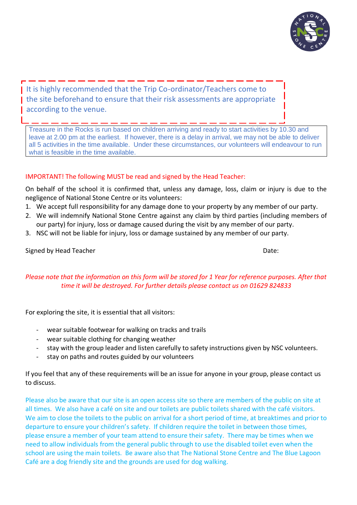

It is highly recommended that the Trip Co-ordinator/Teachers come to the site beforehand to ensure that their risk assessments are appropriate according to the venue.

Treasure in the Rocks is run based on children arriving and ready to start activities by 10.30 and leave at 2.00 pm at the earliest. If however, there is a delay in arrival, we may not be able to deliver all 5 activities in the time available. Under these circumstances, our volunteers will endeavour to run what is feasible in the time available.

## IMPORTANT! The following MUST be read and signed by the Head Teacher:

On behalf of the school it is confirmed that, unless any damage, loss, claim or injury is due to the negligence of National Stone Centre or its volunteers:

- 1. We accept full responsibility for any damage done to your property by any member of our party.
- 2. We will indemnify National Stone Centre against any claim by third parties (including members of our party) for injury, loss or damage caused during the visit by any member of our party.
- 3. NSC will not be liable for injury, loss or damage sustained by any member of our party.

### Signed by Head Teacher Date: Date: Date: Date: Date: Date: Date: Date: Date: Date: Date: Date: Date: Date: Date: Date: Date: Date: Date: Date: Date: Date: Date: Date: Date: Date: Date: Date: Date: Date: Date: Date: Date: D

# *Please note that the information on this form will be stored for 1 Year for reference purposes. After that time it will be destroyed. For further details please contact us on 01629 824833*

For exploring the site, it is essential that all visitors:

- wear suitable footwear for walking on tracks and trails
- wear suitable clothing for changing weather
- stay with the group leader and listen carefully to safety instructions given by NSC volunteers.
- stay on paths and routes guided by our volunteers

If you feel that any of these requirements will be an issue for anyone in your group, please contact us to discuss.

Please also be aware that our site is an open access site so there are members of the public on site at all times. We also have a café on site and our toilets are public toilets shared with the café visitors. We aim to close the toilets to the public on arrival for a short period of time, at breaktimes and prior to departure to ensure your children's safety. If children require the toilet in between those times, please ensure a member of your team attend to ensure their safety. There may be times when we need to allow individuals from the general public through to use the disabled toilet even when the school are using the main toilets. Be aware also that The National Stone Centre and The Blue Lagoon Café are a dog friendly site and the grounds are used for dog walking.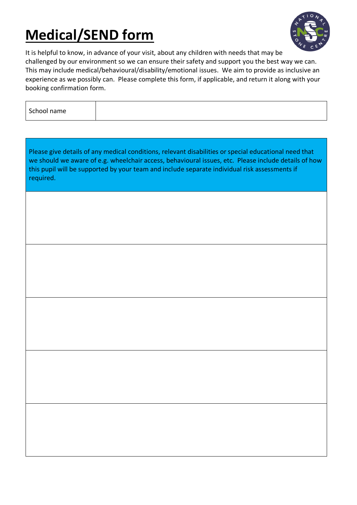# **Medical/SEND form**



It is helpful to know, in advance of your visit, about any children with needs that may be challenged by our environment so we can ensure their safety and support you the best way we can. This may include medical/behavioural/disability/emotional issues. We aim to provide as inclusive an experience as we possibly can. Please complete this form, if applicable, and return it along with your booking confirmation form.

| School name |  |  |
|-------------|--|--|

Please give details of any medical conditions, relevant disabilities or special educational need that we should we aware of e.g. wheelchair access, behavioural issues, etc. Please include details of how this pupil will be supported by your team and include separate individual risk assessments if required.